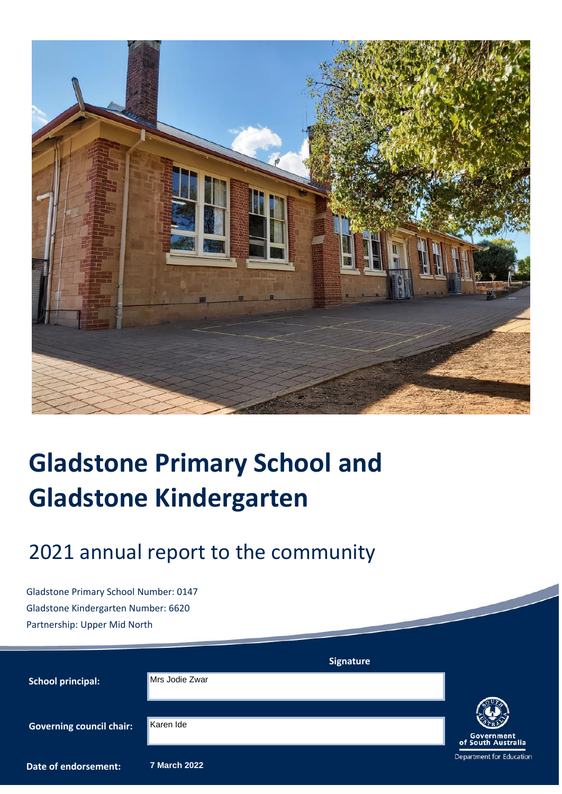

# **Gladstone Primary School and Gladstone Kindergarten**

# 2021 annual report to the community

Gladstone Primary School Number: 0147 Gladstone Kindergarten Number: 6620 Partnership: Upper Mid North

|                                 | <b>Signature</b>    |                                  |
|---------------------------------|---------------------|----------------------------------|
| <b>School principal:</b>        | Mrs Jodie Zwar      |                                  |
| <b>Governing council chair:</b> | Karen Ide           | Government<br>of South Australia |
| <b>Date of endorsement:</b>     | <b>7 March 2022</b> | <b>Department for Education</b>  |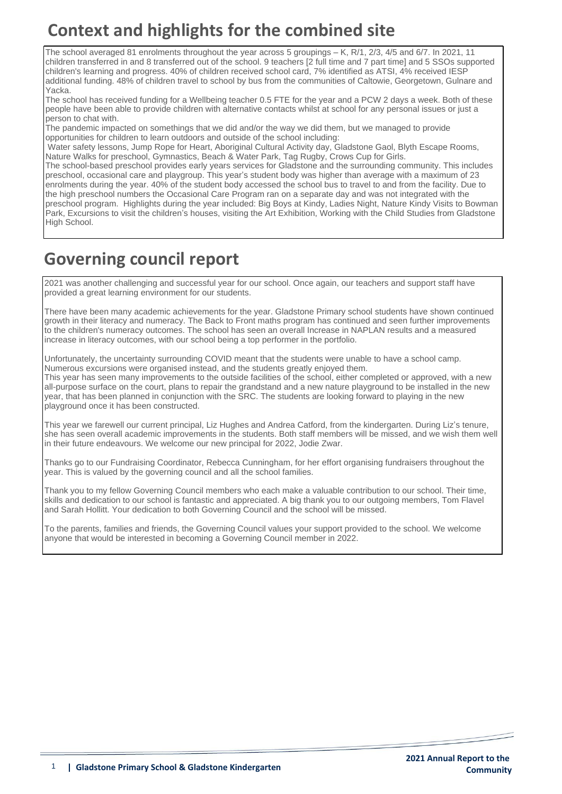# **Context and highlights for the combined site**

The school averaged 81 enrolments throughout the year across 5 groupings – K, R/1, 2/3, 4/5 and 6/7. In 2021, 11 children transferred in and 8 transferred out of the school. 9 teachers [2 full time and 7 part time] and 5 SSOs supported children's learning and progress. 40% of children received school card, 7% identified as ATSI, 4% received IESP additional funding. 48% of children travel to school by bus from the communities of Caltowie, Georgetown, Gulnare and Yacka.

The school has received funding for a Wellbeing teacher 0.5 FTE for the year and a PCW 2 days a week. Both of these people have been able to provide children with alternative contacts whilst at school for any personal issues or just a person to chat with.

The pandemic impacted on somethings that we did and/or the way we did them, but we managed to provide opportunities for children to learn outdoors and outside of the school including:

Water safety lessons, Jump Rope for Heart, Aboriginal Cultural Activity day, Gladstone Gaol, Blyth Escape Rooms, Nature Walks for preschool, Gymnastics, Beach & Water Park, Tag Rugby, Crows Cup for Girls.

The school-based preschool provides early years services for Gladstone and the surrounding community. This includes preschool, occasional care and playgroup. This year's student body was higher than average with a maximum of 23 enrolments during the year. 40% of the student body accessed the school bus to travel to and from the facility. Due to the high preschool numbers the Occasional Care Program ran on a separate day and was not integrated with the preschool program. Highlights during the year included: Big Boys at Kindy, Ladies Night, Nature Kindy Visits to Bowman Park, Excursions to visit the children's houses, visiting the Art Exhibition, Working with the Child Studies from Gladstone High School.

# **Governing council report**

2021 was another challenging and successful year for our school. Once again, our teachers and support staff have provided a great learning environment for our students.

There have been many academic achievements for the year. Gladstone Primary school students have shown continued growth in their literacy and numeracy. The Back to Front maths program has continued and seen further improvements to the children's numeracy outcomes. The school has seen an overall Increase in NAPLAN results and a measured increase in literacy outcomes, with our school being a top performer in the portfolio.

Unfortunately, the uncertainty surrounding COVID meant that the students were unable to have a school camp. Numerous excursions were organised instead, and the students greatly enjoyed them.

This year has seen many improvements to the outside facilities of the school, either completed or approved, with a new all-purpose surface on the court, plans to repair the grandstand and a new nature playground to be installed in the new year, that has been planned in conjunction with the SRC. The students are looking forward to playing in the new playground once it has been constructed.

This year we farewell our current principal, Liz Hughes and Andrea Catford, from the kindergarten. During Liz's tenure, she has seen overall academic improvements in the students. Both staff members will be missed, and we wish them well in their future endeavours. We welcome our new principal for 2022, Jodie Zwar.

Thanks go to our Fundraising Coordinator, Rebecca Cunningham, for her effort organising fundraisers throughout the year. This is valued by the governing council and all the school families.

Thank you to my fellow Governing Council members who each make a valuable contribution to our school. Their time, skills and dedication to our school is fantastic and appreciated. A big thank you to our outgoing members, Tom Flavel and Sarah Hollitt. Your dedication to both Governing Council and the school will be missed.

To the parents, families and friends, the Governing Council values your support provided to the school. We welcome anyone that would be interested in becoming a Governing Council member in 2022.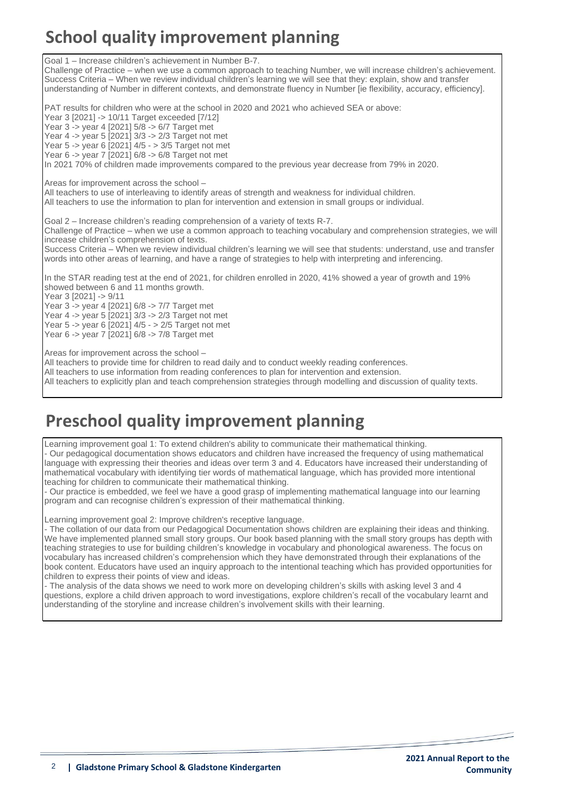# **School quality improvement planning**

Goal 1 – Increase children's achievement in Number B-7. Challenge of Practice – when we use a common approach to teaching Number, we will increase children's achievement. Success Criteria – When we review individual children's learning we will see that they: explain, show and transfer understanding of Number in different contexts, and demonstrate fluency in Number [ie flexibility, accuracy, efficiency]. PAT results for children who were at the school in 2020 and 2021 who achieved SEA or above: Year 3 [2021] -> 10/11 Target exceeded [7/12] Year 3 -> year 4 [2021] 5/8 -> 6/7 Target met Year 4 -> year 5 [2021] 3/3 -> 2/3 Target not met Year 5 -> year 6 [2021] 4/5 - > 3/5 Target not met Year 6 -> year 7 [2021] 6/8 -> 6/8 Target not met In 2021 70% of children made improvements compared to the previous year decrease from 79% in 2020. Areas for improvement across the school – All teachers to use of interleaving to identify areas of strength and weakness for individual children. All teachers to use the information to plan for intervention and extension in small groups or individual. Goal 2 – Increase children's reading comprehension of a variety of texts R-7. Challenge of Practice – when we use a common approach to teaching vocabulary and comprehension strategies, we will increase children's comprehension of texts. Success Criteria – When we review individual children's learning we will see that students: understand, use and transfer words into other areas of learning, and have a range of strategies to help with interpreting and inferencing. In the STAR reading test at the end of 2021, for children enrolled in 2020, 41% showed a year of growth and 19% showed between 6 and 11 months growth. Year 3 [2021] -> 9/11 Year 3 -> year 4 [2021] 6/8 -> 7/7 Target met Year 4 -> year 5 [2021] 3/3 -> 2/3 Target not met Year 5 -> year 6 [2021] 4/5 - > 2/5 Target not met Year 6 -> year 7 [2021] 6/8 -> 7/8 Target met Areas for improvement across the school – All teachers to provide time for children to read daily and to conduct weekly reading conferences. All teachers to use information from reading conferences to plan for intervention and extension. All teachers to explicitly plan and teach comprehension strategies through modelling and discussion of quality texts.

### **Preschool quality improvement planning**

Learning improvement goal 1: To extend children's ability to communicate their mathematical thinking. - Our pedagogical documentation shows educators and children have increased the frequency of using mathematical language with expressing their theories and ideas over term 3 and 4. Educators have increased their understanding of mathematical vocabulary with identifying tier words of mathematical language, which has provided more intentional teaching for children to communicate their mathematical thinking.

- Our practice is embedded, we feel we have a good grasp of implementing mathematical language into our learning program and can recognise children's expression of their mathematical thinking.

Learning improvement goal 2: Improve children's receptive language.

- The collation of our data from our Pedagogical Documentation shows children are explaining their ideas and thinking. We have implemented planned small story groups. Our book based planning with the small story groups has depth with teaching strategies to use for building children's knowledge in vocabulary and phonological awareness. The focus on vocabulary has increased children's comprehension which they have demonstrated through their explanations of the book content. Educators have used an inquiry approach to the intentional teaching which has provided opportunities for children to express their points of view and ideas.

- The analysis of the data shows we need to work more on developing children's skills with asking level 3 and 4 questions, explore a child driven approach to word investigations, explore children's recall of the vocabulary learnt and understanding of the storyline and increase children's involvement skills with their learning.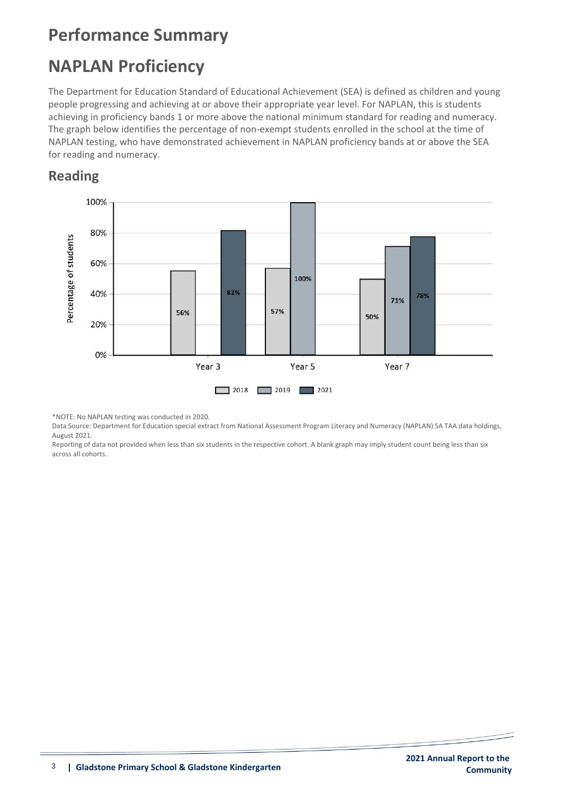# **Performance Summary**

# **NAPLAN Proficiency**

The Department for Education Standard of Educational Achievement (SEA) is defined as children and young people progressing and achieving at or above their appropriate year level. For NAPLAN, this is students achieving in proficiency bands 1 or more above the national minimum standard for reading and numeracy. The graph below identifies the percentage of non-exempt students enrolled in the school at the time of NAPLAN testing, who have demonstrated achievement in NAPLAN proficiency bands at or above the SEA for reading and numeracy.

#### **Reading**



\*NOTE: No NAPLAN testing was conducted in 2020.

Data Source: Department for Education special extract from National Assessment Program Literacy and Numeracy (NAPLAN) SA TAA data holdings, August 2021.

Reporting of data not provided when less than six students in the respective cohort. A blank graph may imply student count being less than six across all cohorts.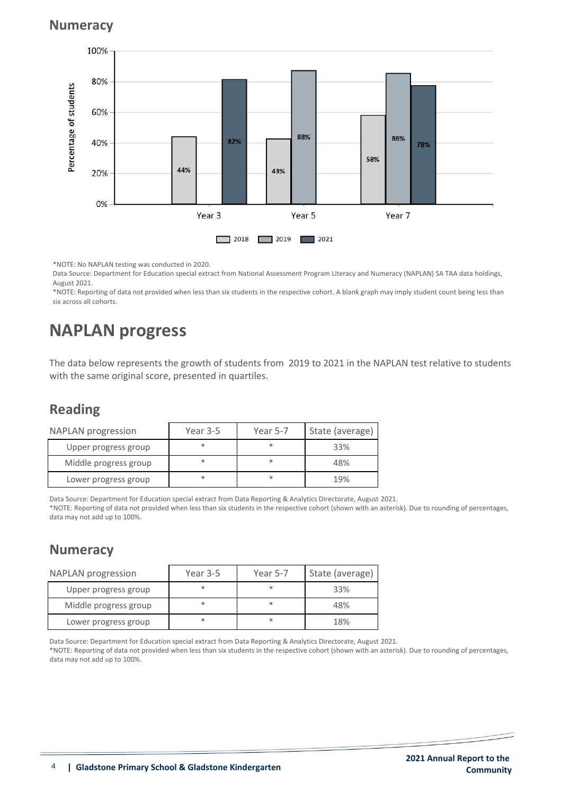#### **Numeracy**



\*NOTE: No NAPLAN testing was conducted in 2020.

Data Source: Department for Education special extract from National Assessment Program Literacy and Numeracy (NAPLAN) SA TAA data holdings, August 2021.

\*NOTE: Reporting of data not provided when less than six students in the respective cohort. A blank graph may imply student count being less than six across all cohorts.

# **NAPLAN progress**

The data below represents the growth of students from 2019 to 2021 in the NAPLAN test relative to students with the same original score, presented in quartiles.

#### **Reading**

| <b>NAPLAN</b> progression | Year 3-5 | Year 5-7 | State (average) |
|---------------------------|----------|----------|-----------------|
| Upper progress group      |          | ∗        | 33%             |
| Middle progress group     |          | ∗        | 48%             |
| Lower progress group      |          | ∗        | 19%             |

Data Source: Department for Education special extract from Data Reporting & Analytics Directorate, August 2021. \*NOTE: Reporting of data not provided when less than six students in the respective cohort (shown with an asterisk). Due to rounding of percentages, data may not add up to 100%.

#### **Numeracy**

| <b>NAPLAN</b> progression | Year 3-5 | Year 5-7 | State (average) |
|---------------------------|----------|----------|-----------------|
| Upper progress group      |          | ∗        | 33%             |
| Middle progress group     |          | $\ast$   | 48%             |
| Lower progress group      |          | ∗        | 18%             |

Data Source: Department for Education special extract from Data Reporting & Analytics Directorate, August 2021.

\*NOTE: Reporting of data not provided when less than six students in the respective cohort (shown with an asterisk). Due to rounding of percentages, data may not add up to 100%.

**2021 Annual Report to the**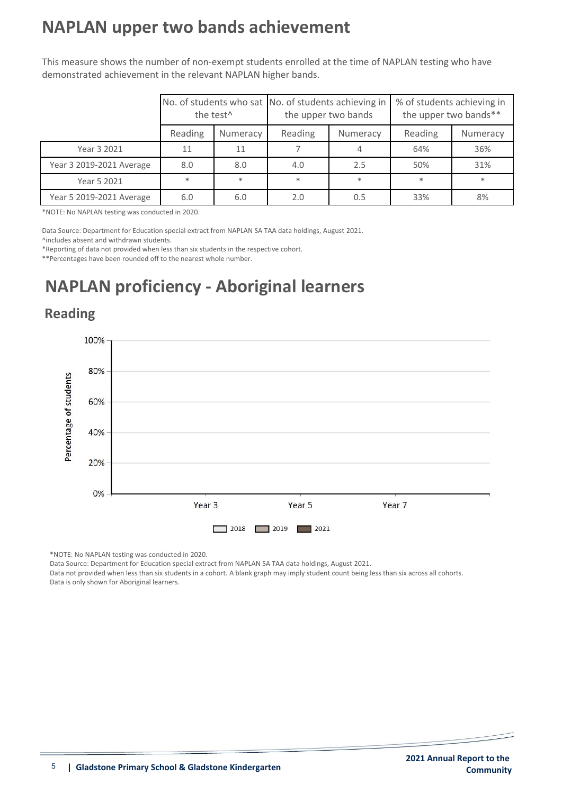# **NAPLAN upper two bands achievement**

This measure shows the number of non-exempt students enrolled at the time of NAPLAN testing who have demonstrated achievement in the relevant NAPLAN higher bands.

|                          | the test <sup>^</sup> |          | No. of students who sat No. of students achieving in<br>the upper two bands |          | % of students achieving in<br>the upper two bands** |          |
|--------------------------|-----------------------|----------|-----------------------------------------------------------------------------|----------|-----------------------------------------------------|----------|
|                          | Reading               | Numeracy | Reading                                                                     | Numeracy | Reading                                             | Numeracy |
| Year 3 2021              | 11                    | 11       |                                                                             | 4        | 64%                                                 | 36%      |
| Year 3 2019-2021 Average | 8.0                   | 8.0      | 4.0                                                                         | 2.5      | 50%                                                 | 31%      |
| Year 5 2021              | $\ast$                | $\ast$   | $\ast$                                                                      | $\ast$   | $\ast$                                              | $\ast$   |
| Year 5 2019-2021 Average | 6.0                   | 6.0      | 2.0                                                                         | 0.5      | 33%                                                 | 8%       |

\*NOTE: No NAPLAN testing was conducted in 2020.

Data Source: Department for Education special extract from NAPLAN SA TAA data holdings, August 2021. ^includes absent and withdrawn students.

\*Reporting of data not provided when less than six students in the respective cohort.

\*\*Percentages have been rounded off to the nearest whole number.

# **NAPLAN proficiency - Aboriginal learners**





\*NOTE: No NAPLAN testing was conducted in 2020.

Data Source: Department for Education special extract from NAPLAN SA TAA data holdings, August 2021.

Data not provided when less than six students in a cohort. A blank graph may imply student count being less than six across all cohorts. Data is only shown for Aboriginal learners.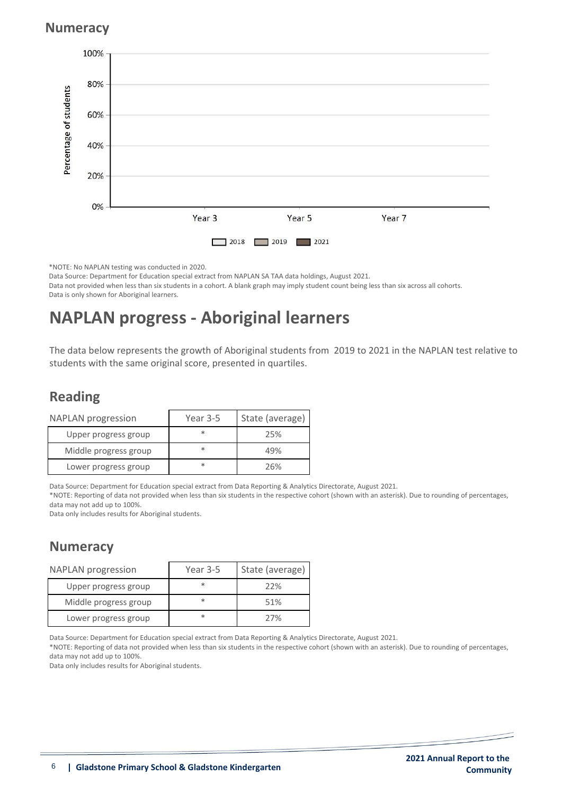#### **Numeracy**



\*NOTE: No NAPLAN testing was conducted in 2020.

Data Source: Department for Education special extract from NAPLAN SA TAA data holdings, August 2021.

Data not provided when less than six students in a cohort. A blank graph may imply student count being less than six across all cohorts. Data is only shown for Aboriginal learners.

### **NAPLAN progress - Aboriginal learners**

The data below represents the growth of Aboriginal students from 2019 to 2021 in the NAPLAN test relative to students with the same original score, presented in quartiles.

#### **Reading**

| <b>NAPLAN</b> progression | Year 3-5 | State (average) |
|---------------------------|----------|-----------------|
| Upper progress group      | ∗        | 25%             |
| Middle progress group     | $\ast$   | 49%             |
| Lower progress group      | ∗        | 26%             |

Data Source: Department for Education special extract from Data Reporting & Analytics Directorate, August 2021.

\*NOTE: Reporting of data not provided when less than six students in the respective cohort (shown with an asterisk). Due to rounding of percentages, data may not add up to 100%.

Data only includes results for Aboriginal students.

#### **Numeracy**

| <b>NAPLAN</b> progression | Year 3-5 | State (average) |
|---------------------------|----------|-----------------|
| Upper progress group      | ∗        | 22%             |
| Middle progress group     | $\ast$   | 51%             |
| Lower progress group      | ∗        | 27%             |

Data Source: Department for Education special extract from Data Reporting & Analytics Directorate, August 2021.

\*NOTE: Reporting of data not provided when less than six students in the respective cohort (shown with an asterisk). Due to rounding of percentages, data may not add up to 100%.

Data only includes results for Aboriginal students.

**2021 Annual Report to the**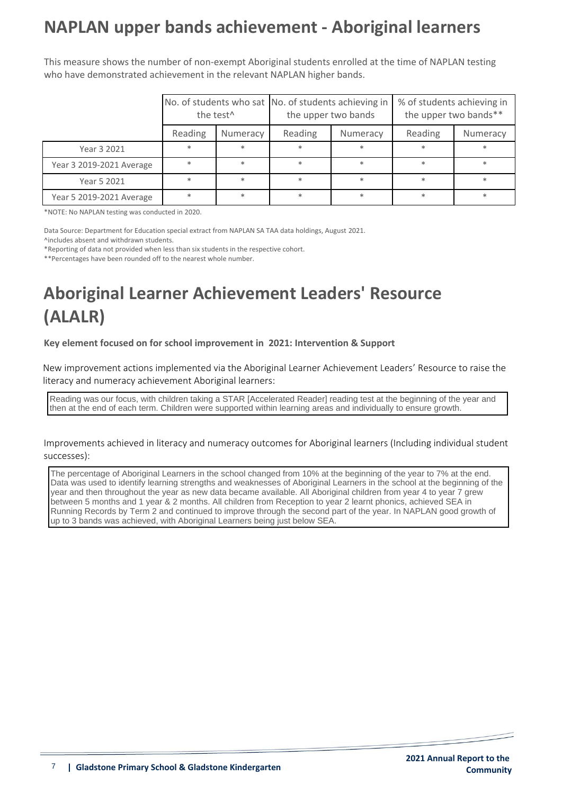# **NAPLAN upper bands achievement - Aboriginal learners**

This measure shows the number of non-exempt Aboriginal students enrolled at the time of NAPLAN testing who have demonstrated achievement in the relevant NAPLAN higher bands.

|                          | the test <sup>^</sup> |          | No. of students who sat No. of students achieving in<br>the upper two bands |          | % of students achieving in<br>the upper two bands** |          |
|--------------------------|-----------------------|----------|-----------------------------------------------------------------------------|----------|-----------------------------------------------------|----------|
|                          | Reading               | Numeracy | Reading                                                                     | Numeracy | Reading                                             | Numeracy |
| Year 3 2021              |                       | $\ast$   | $\ast$                                                                      | $\ast$   | $\ast$                                              | $\ast$   |
| Year 3 2019-2021 Average | $\ast$                | $\ast$   | $\ast$                                                                      | $\ast$   | $\ast$                                              | $\ast$   |
| Year 5 2021              | $\ast$                | $\ast$   | $\ast$                                                                      | $\ast$   | $\ast$                                              | $\ast$   |
| Year 5 2019-2021 Average | $\ast$                | $\ast$   | $\ast$                                                                      | $\ast$   | $\ast$                                              | $\ast$   |

\*NOTE: No NAPLAN testing was conducted in 2020.

Data Source: Department for Education special extract from NAPLAN SA TAA data holdings, August 2021. ^includes absent and withdrawn students.

\*Reporting of data not provided when less than six students in the respective cohort.

\*\*Percentages have been rounded off to the nearest whole number.

# **Aboriginal Learner Achievement Leaders' Resource (ALALR)**

**Key element focused on for school improvement in 2021: Intervention & Support**

New improvement actions implemented via the Aboriginal Learner Achievement Leaders' Resource to raise the literacy and numeracy achievement Aboriginal learners:

Reading was our focus, with children taking a STAR [Accelerated Reader] reading test at the beginning of the year and then at the end of each term. Children were supported within learning areas and individually to ensure growth.

Improvements achieved in literacy and numeracy outcomes for Aboriginal learners (Including individual student successes):

The percentage of Aboriginal Learners in the school changed from 10% at the beginning of the year to 7% at the end. Data was used to identify learning strengths and weaknesses of Aboriginal Learners in the school at the beginning of the year and then throughout the year as new data became available. All Aboriginal children from year 4 to year 7 grew between 5 months and 1 year & 2 months. All children from Reception to year 2 learnt phonics, achieved SEA in Running Records by Term 2 and continued to improve through the second part of the year. In NAPLAN good growth of up to 3 bands was achieved, with Aboriginal Learners being just below SEA.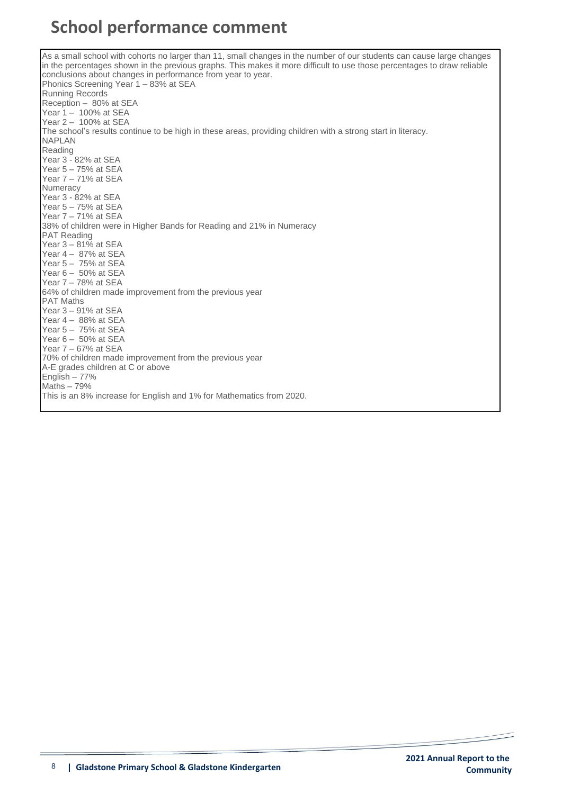# **School performance comment**

As a small school with cohorts no larger than 11, small changes in the number of our students can cause large changes in the percentages shown in the previous graphs. This makes it more difficult to use those percentages to draw reliable conclusions about changes in performance from year to year. Phonics Screening Year 1 – 83% at SEA Running Records Reception – 80% at SEA Year 1 – 100% at SEA Year 2 – 100% at SEA The school's results continue to be high in these areas, providing children with a strong start in literacy. NAPLAN Reading Year 3 - 82% at SEA Year 5 – 75% at SEA Year 7 – 71% at SEA **Numeracy** Year 3 - 82% at SEA Year 5 – 75% at SEA Year 7 – 71% at SEA 38% of children were in Higher Bands for Reading and 21% in Numeracy PAT Reading Year 3 – 81% at SEA Year 4 – 87% at SEA Year 5 – 75% at SEA Year 6 – 50% at SEA Year 7 – 78% at SEA 64% of children made improvement from the previous year PAT Maths Year 3 – 91% at SEA Year 4 – 88% at SEA Year 5 – 75% at SEA Year 6 – 50% at SEA Year 7 – 67% at SEA 70% of children made improvement from the previous year A-E grades children at C or above English  $-77%$ Maths – 79% This is an 8% increase for English and 1% for Mathematics from 2020.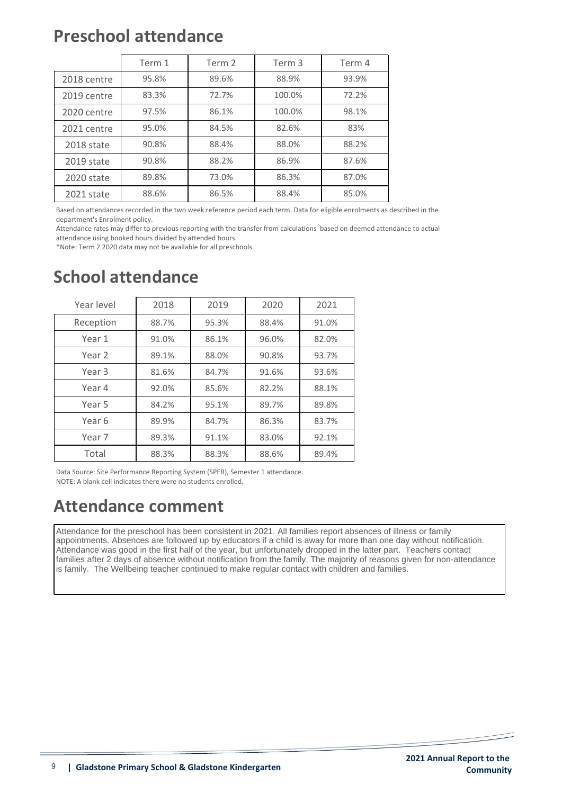### **Preschool attendance**

|             | Term 1 | Term 2 | Term 3 | Term 4 |
|-------------|--------|--------|--------|--------|
| 2018 centre | 95.8%  | 89.6%  | 88.9%  | 93.9%  |
| 2019 centre | 83.3%  | 72.7%  | 100.0% | 72.2%  |
| 2020 centre | 97.5%  | 86.1%  | 100.0% | 98.1%  |
| 2021 centre | 95.0%  | 84.5%  | 82.6%  | 83%    |
| 2018 state  | 90.8%  | 88.4%  | 88.0%  | 88.2%  |
| 2019 state  | 90.8%  | 88.2%  | 86.9%  | 87.6%  |
| 2020 state  | 89.8%  | 73.0%  | 86.3%  | 87.0%  |
| 2021 state  | 88.6%  | 86.5%  | 88.4%  | 85.0%  |

Based on attendances recorded in the two week reference period each term. Data for eligible enrolments as described in the department's Enrolment policy.

Attendance rates may differ to previous reporting with the transfer from calculations based on deemed attendance to actual attendance using booked hours divided by attended hours.

\*Note: Term 2 2020 data may not be available for all preschools.

| Year level        | 2018  | 2019  | 2020  | 2021  |
|-------------------|-------|-------|-------|-------|
| Reception         | 88.7% | 95.3% | 88.4% | 91.0% |
| Year 1            | 91.0% | 86.1% | 96.0% | 82.0% |
| Year <sub>2</sub> | 89.1% | 88.0% | 90.8% | 93.7% |
| Year 3            | 81.6% | 84.7% | 91.6% | 93.6% |
| Year 4            | 92.0% | 85.6% | 82.2% | 88.1% |
| Year 5            | 84.2% | 95.1% | 89.7% | 89.8% |
| Year 6            | 89.9% | 84.7% | 86.3% | 83.7% |
| Year <sub>7</sub> | 89.3% | 91.1% | 83.0% | 92.1% |
| Total             | 88.3% | 88.3% | 88.6% | 89.4% |

### **School attendance**

Data Source: Site Performance Reporting System (SPER), Semester 1 attendance. NOTE: A blank cell indicates there were no students enrolled.

# **Attendance comment**

Attendance for the preschool has been consistent in 2021. All families report absences of illness or family appointments. Absences are followed up by educators if a child is away for more than one day without notification. Attendance was good in the first half of the year, but unfortunately dropped in the latter part. Teachers contact families after 2 days of absence without notification from the family. The majority of reasons given for non-attendance is family. The Wellbeing teacher continued to make regular contact with children and families.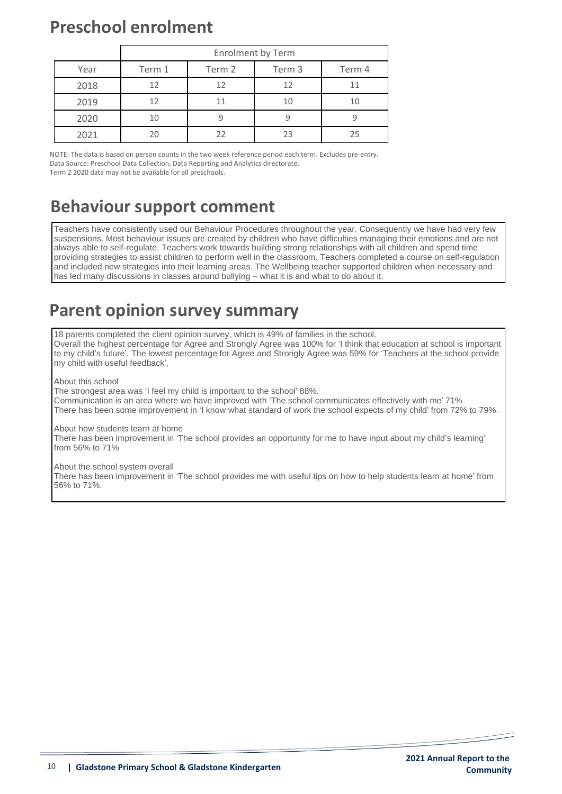# **Preschool enrolment**

|      | <b>Enrolment by Term</b> |        |        |        |  |
|------|--------------------------|--------|--------|--------|--|
| Year | Term 1                   | Term 2 | Term 3 | Term 4 |  |
| 2018 | 12                       | 12     | 12     | 11     |  |
| 2019 | 12                       | 11     | 10     | 10     |  |
| 2020 | 10                       |        |        |        |  |
| 2021 |                          | 22     | 23     | 25     |  |

NOTE: The data is based on person counts in the two week reference period each term. Excludes pre-entry. Data Source: Preschool Data Collection, Data Reporting and Analytics directorate. Term 2 2020 data may not be available for all preschools.

### **Behaviour support comment**

Teachers have consistently used our Behaviour Procedures throughout the year. Consequently we have had very few suspensions. Most behaviour issues are created by children who have difficulties managing their emotions and are not always able to self-regulate. Teachers work towards building strong relationships with all children and spend time providing strategies to assist children to perform well in the classroom. Teachers completed a course on self-regulation and included new strategies into their learning areas. The Wellbeing teacher supported children when necessary and has led many discussions in classes around bullying – what it is and what to do about it.

# **Parent opinion survey summary**

18 parents completed the client opinion survey, which is 49% of families in the school. Overall the highest percentage for Agree and Strongly Agree was 100% for 'I think that education at school is important to my child's future'. The lowest percentage for Agree and Strongly Agree was 59% for 'Teachers at the school provide my child with useful feedback'.

About this school

The strongest area was 'I feel my child is important to the school' 88%.

Communication is an area where we have improved with 'The school communicates effectively with me' 71% There has been some improvement in 'I know what standard of work the school expects of my child' from 72% to 79%.

About how students learn at home

There has been improvement in 'The school provides an opportunity for me to have input about my child's learning' from 56% to 71%

About the school system overall

There has been improvement in 'The school provides me with useful tips on how to help students learn at home' from 56% to 71%.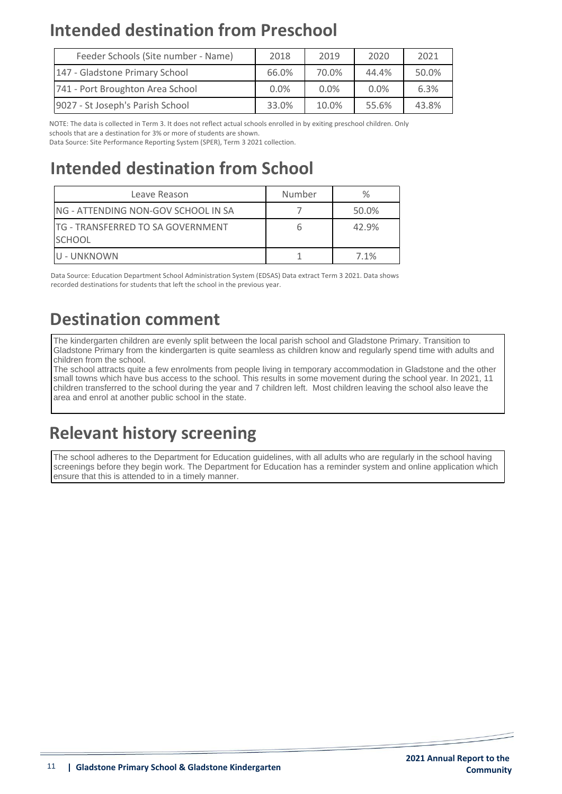# **Intended destination from Preschool**

| Feeder Schools (Site number - Name) | 2018    | 2019     | 2020    | 2021  |
|-------------------------------------|---------|----------|---------|-------|
| 147 - Gladstone Primary School      | 66.0%   | 70.0%    | 44.4%   | 50.0% |
| 741 - Port Broughton Area School    | $0.0\%$ | 0.0%     | $0.0\%$ | 6.3%  |
| 9027 - St Joseph's Parish School    | 33.0%   | $10.0\%$ | 55.6%   | 43.8% |

NOTE: The data is collected in Term 3. It does not reflect actual schools enrolled in by exiting preschool children. Only schools that are a destination for 3% or more of students are shown.

Data Source: Site Performance Reporting System (SPER), Term 3 2021 collection.

# **Intended destination from School**

| Leave Reason                                               | Number | $\%$  |
|------------------------------------------------------------|--------|-------|
| ING - ATTENDING NON-GOV SCHOOL IN SA                       |        | 50.0% |
| <b>ITG - TRANSFERRED TO SA GOVERNMENT</b><br><b>SCHOOL</b> |        | 42.9% |
| IU - UNKNOWN                                               |        | 7.1%  |

Data Source: Education Department School Administration System (EDSAS) Data extract Term 3 2021. Data shows recorded destinations for students that left the school in the previous year.

# **Destination comment**

The kindergarten children are evenly split between the local parish school and Gladstone Primary. Transition to Gladstone Primary from the kindergarten is quite seamless as children know and regularly spend time with adults and children from the school.

The school attracts quite a few enrolments from people living in temporary accommodation in Gladstone and the other small towns which have bus access to the school. This results in some movement during the school year. In 2021, 11 children transferred to the school during the year and 7 children left. Most children leaving the school also leave the area and enrol at another public school in the state.

# **Relevant history screening**

The school adheres to the Department for Education guidelines, with all adults who are regularly in the school having screenings before they begin work. The Department for Education has a reminder system and online application which ensure that this is attended to in a timely manner.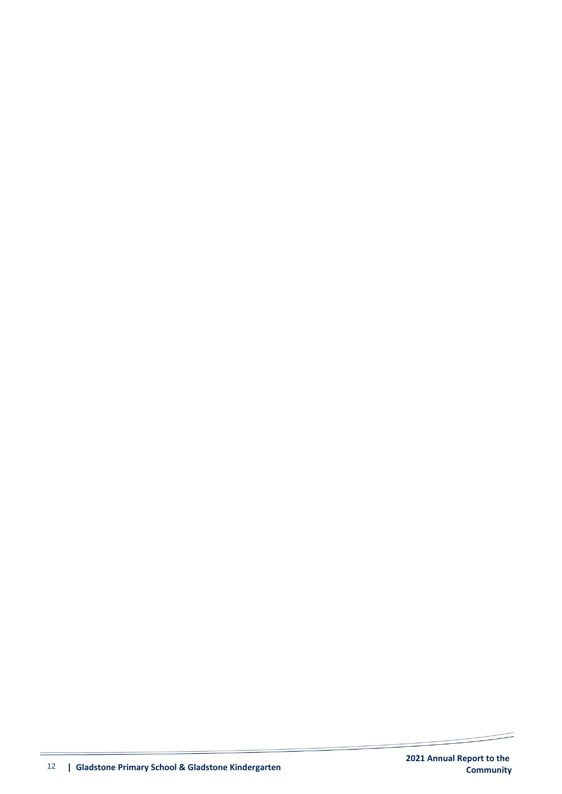$\sim$ 

 $\overline{\phantom{1}}$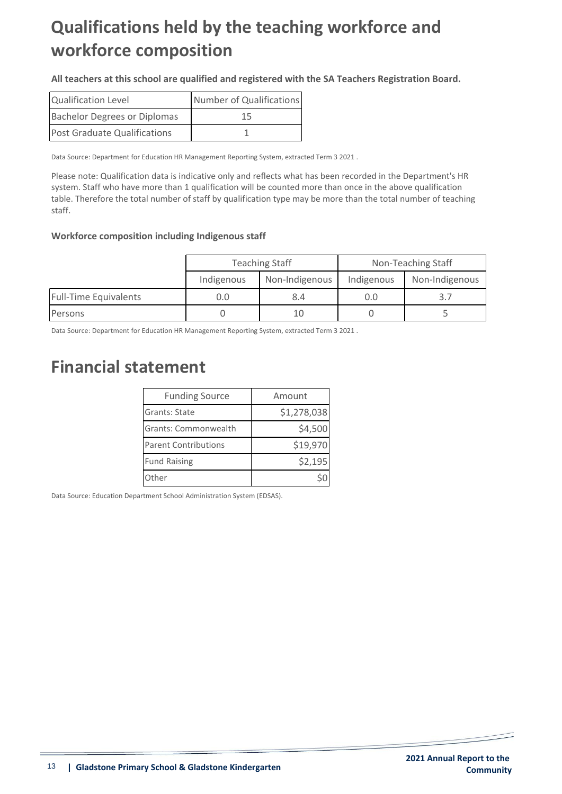# **Qualifications held by the teaching workforce and workforce composition**

**All teachers at this school are qualified and registered with the SA Teachers Registration Board.**

| Qualification Level          | Number of Qualifications |  |  |
|------------------------------|--------------------------|--|--|
| Bachelor Degrees or Diplomas | 15                       |  |  |
| Post Graduate Qualifications |                          |  |  |

Data Source: Department for Education HR Management Reporting System, extracted Term 3 2021 .

Please note: Qualification data is indicative only and reflects what has been recorded in the Department's HR system. Staff who have more than 1 qualification will be counted more than once in the above qualification table. Therefore the total number of staff by qualification type may be more than the total number of teaching staff.

#### **Workforce composition including Indigenous staff**

|                       | <b>Teaching Staff</b> |                | Non-Teaching Staff |                |
|-----------------------|-----------------------|----------------|--------------------|----------------|
|                       | Indigenous            | Non-Indigenous | Indigenous         | Non-Indigenous |
| Full-Time Equivalents | 0.0                   | 8.4            | 0.0                |                |
| Persons               |                       | 10             |                    |                |

Data Source: Department for Education HR Management Reporting System, extracted Term 3 2021 .

# **Financial statement**

| <b>Funding Source</b>       | Amount      |
|-----------------------------|-------------|
| <b>Grants: State</b>        | \$1,278,038 |
| Grants: Commonwealth        | \$4,500     |
| <b>Parent Contributions</b> | \$19,970    |
| <b>Fund Raising</b>         | \$2,195     |
| Other                       |             |

Data Source: Education Department School Administration System (EDSAS).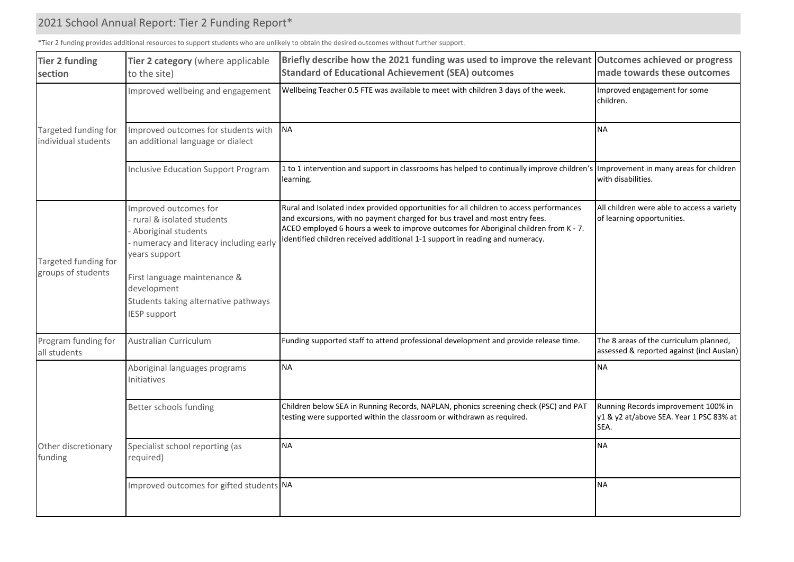#### 2021 School Annual Report: Tier 2 Funding Report\*

**Tier 2 funding section Tier 2 category** (where applicable to the site) **Briefly describe how the 2021 funding was used to improve the relevant Outcomes achieved or progress Standard of Educational Achievement (SEA) outcomes made towards these outcomes** Improved wellbeing and engagement Wellbeing Teacher 0.5 FTE was available to meet with children 3 days of the week. Improved engagement for some children. Targeted funding for individual students Improved outcomes for students with an additional language or dialect NA NA Inclusive Education Support Program 1 to 1 intervention and support in classrooms has helped to continually improve children's Improvement in many areas for children learning. with disabilities. Targeted funding for groups of students Improved outcomes for - rural & isolated students - Aboriginal students - numeracy and literacy including early years support First language maintenance & development Students taking alternative pathways IESP support Rural and Isolated index provided opportunities for all children to access performances and excursions, with no payment charged for bus travel and most entry fees. ACEO employed 6 hours a week to improve outcomes for Aboriginal children from K - 7. Identified children received additional 1-1 support in reading and numeracy. All children were able to access a variety of learning opportunities. Program funding for all students Australian Curriculum Funding supported staff to attend professional development and provide release time. The 8 areas of the curriculum planned, assessed & reported against (incl Auslan) Aboriginal languages programs Initiatives NA NA Better schools funding Children below SEA in Running Records, NAPLAN, phonics screening check (PSC) and PAT testing were supported within the classroom or withdrawn as required. Running Records improvement 100% in y1 & y2 at/above SEA. Year 1 PSC 83% at SEA. Other discretionary funding Specialist school reporting (as required) NA NA Improved outcomes for gifted students NA NA

\*Tier 2 funding provides additional resources to support students who are unlikely to obtain the desired outcomes without further support.